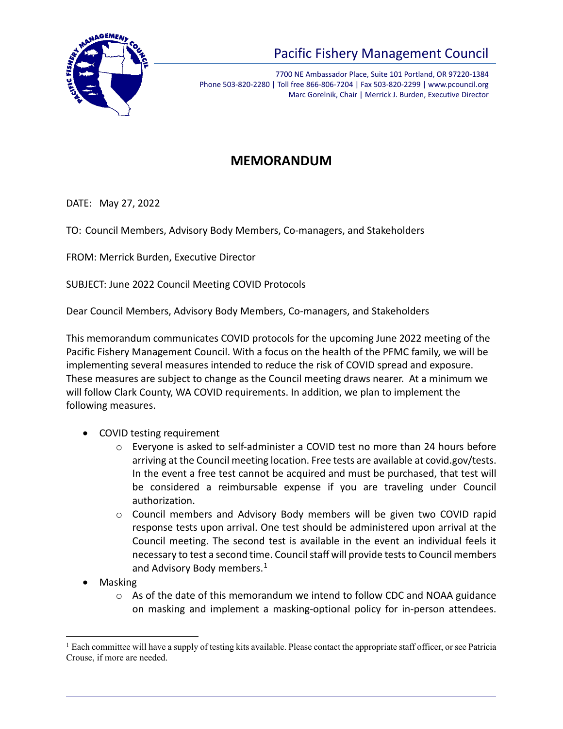

## Pacific Fishery Management Council

7700 NE Ambassador Place, Suite 101 Portland, OR 97220-1384 Phone 503-820-2280 | Toll free 866-806-7204 | Fax 503-820-2299 | www.pcouncil.org Marc Gorelnik, Chair | Merrick J. Burden, Executive Director

## **MEMORANDUM**

DATE: May 27, 2022

TO: Council Members, Advisory Body Members, Co-managers, and Stakeholders

FROM: Merrick Burden, Executive Director

SUBJECT: June 2022 Council Meeting COVID Protocols

Dear Council Members, Advisory Body Members, Co-managers, and Stakeholders

This memorandum communicates COVID protocols for the upcoming June 2022 meeting of the Pacific Fishery Management Council. With a focus on the health of the PFMC family, we will be implementing several measures intended to reduce the risk of COVID spread and exposure. These measures are subject to change as the Council meeting draws nearer. At a minimum we will follow Clark County, WA COVID requirements. In addition, we plan to implement the following measures.

- COVID testing requirement
	- o Everyone is asked to self-administer a COVID test no more than 24 hours before arriving at the Council meeting location. Free tests are available at covid.gov/tests. In the event a free test cannot be acquired and must be purchased, that test will be considered a reimbursable expense if you are traveling under Council authorization.
	- o Council members and Advisory Body members will be given two COVID rapid response tests upon arrival. One test should be administered upon arrival at the Council meeting. The second test is available in the event an individual feels it necessary to test a second time. Council staff will provide tests to Council members and Advisory Body members.<sup>[1](#page-0-0)</sup>
- Masking
	- $\circ$  As of the date of this memorandum we intend to follow CDC and NOAA guidance on masking and implement a masking-optional policy for in-person attendees.

<span id="page-0-0"></span><sup>&</sup>lt;sup>1</sup> Each committee will have a supply of testing kits available. Please contact the appropriate staff officer, or see Patricia Crouse, if more are needed.